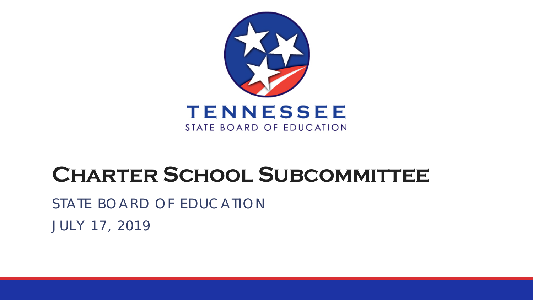

### **Charter School Subcommittee**

STATE BOARD OF EDUCATION JULY 17, 2019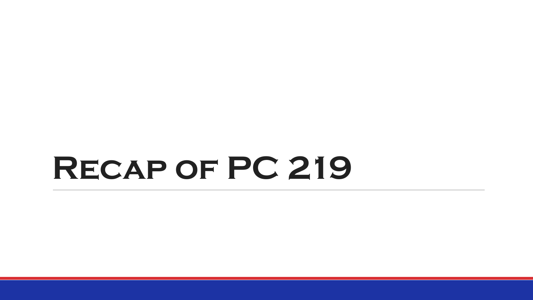# **Recap of PC 219**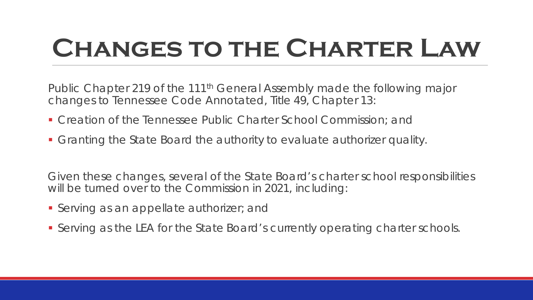### **Changes to the Charter Law**

Public Chapter 219 of the 111<sup>th</sup> General Assembly made the following major changes to Tennessee Code Annotated, Title 49, Chapter 13:

- Creation of the Tennessee Public Charter School Commission; and
- Granting the State Board the authority to evaluate authorizer quality.

Given these changes, several of the State Board's charter school responsibilities will be turned over to the Commission in 2021, including:

- **Serving as an appellate authorizer; and**
- Serving as the LEA for the State Board's currently operating charter schools.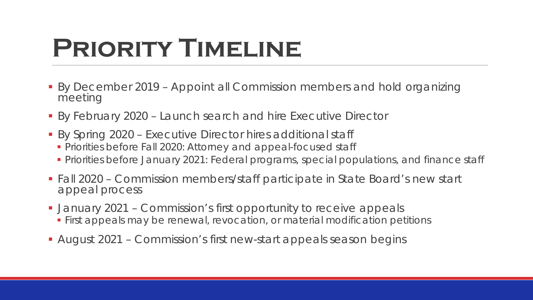### **Priority Timeline**

- By December 2019 Appoint all Commission members and hold organizing meeting
- By February 2020 Launch search and hire Executive Director
- By Spring 2020 Executive Director hires additional staff
	- **Priorities before Fall 2020: Attorney and appeal-focused staff**
	- **Priorities before January 2021: Federal programs, special populations, and finance staff**
- Fall 2020 Commission members/staff participate in State Board's new start appeal process
- January 2021 Commission's first opportunity to receive appeals
	- **First appeals may be renewal, revocation, or material modification petitions**
- August 2021 Commission's first new-start appeals season begins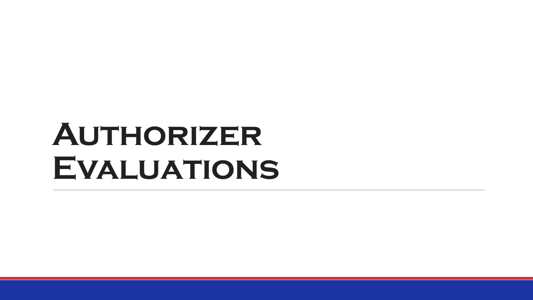# **Authorizer Evaluations**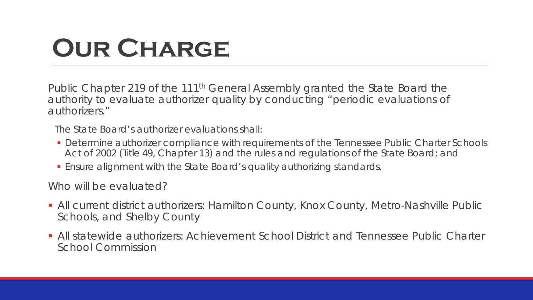### **Our Charge**

Public Chapter 219 of the 111<sup>th</sup> General Assembly granted the State Board the authority to evaluate authorizer quality by conducting "periodic evaluations of authorizers."

*The State Board's authorizer evaluations shall:*

- *Determine authorizer compliance with requirements of the Tennessee Public Charter Schools Act of 2002 (Title 49, Chapter 13) and the rules and regulations of the State Board; and*
- *Ensure alignment with the State Board's quality authorizing standards.*

Who will be evaluated?

- **All current district authorizers: Hamilton County, Knox County, Metro-Nashville Public** Schools, and Shelby County
- All statewide authorizers: Achievement School District and Tennessee Public Charter School Commission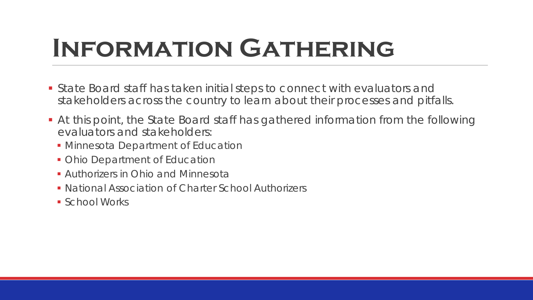### **Information Gathering**

- State Board staff has taken initial steps to connect with evaluators and stakeholders across the country to learn about their processes and pitfalls.
- At this point, the State Board staff has gathered information from the following evaluators and stakeholders:
	- **Minnesota Department of Education**
	- Ohio Department of Education
	- **Authorizers in Ohio and Minnesota**
	- **National Association of Charter School Authorizers**
	- **School Works**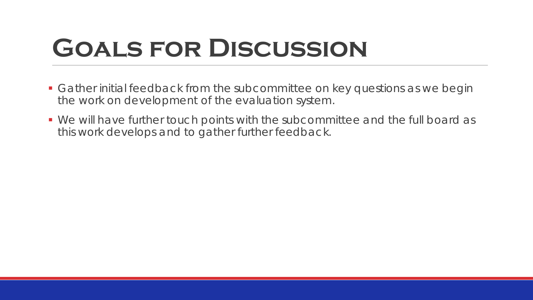### **Goals for Discussion**

- Gather initial feedback from the subcommittee on key questions as we begin the work on development of the evaluation system.
- We will have further touch points with the subcommittee and the full board as this work develops and to gather further feedback.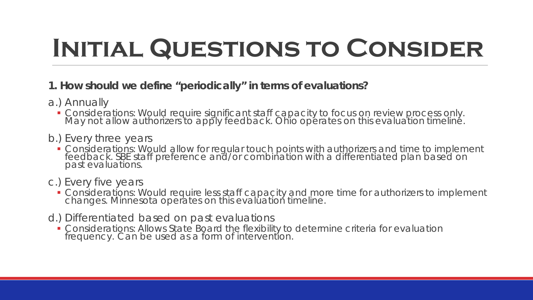- **1. How should we define "periodically" in terms of evaluations?**
- a.) Annually
	- Considerations: Would require significant staff capacity to focus on review process only. May not allow authorizers to apply feedback. Ohio operates on this evaluation timeline.
- b.) Every three years
	- **Considerations: Would allow for regular touch points with authorizers and time to implement** feedback. SBE staff preference and/or combination with a differentiated plan based on past evaluations.

#### c.) Every five years

- **Considerations: Would require less staff capacity and more time for authorizers to implement** changes. Minnesota operates on this evaluation timeline.
- d.) Differentiated based on past evaluations
	- **Considerations: Allows State Board the flexibility to determine criteria for evaluation** frequency. Can be used as a form of intervention.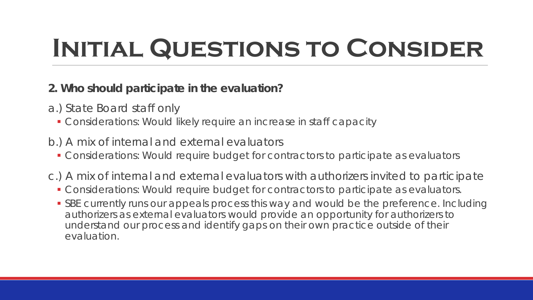#### **2. Who should participate in the evaluation?**

- a.) State Board staff only
	- Considerations: Would likely require an increase in staff capacity
- b.) A mix of internal and external evaluators
	- Considerations: Would require budget for contractors to participate as evaluators
- c.) A mix of internal and external evaluators with authorizers invited to participate
	- Considerations: Would require budget for contractors to participate as evaluators.
	- **SBE currently runs our appeals process this way and would be the preference. Including** authorizers as external evaluators would provide an opportunity for authorizers to understand our process and identify gaps on their own practice outside of their evaluation.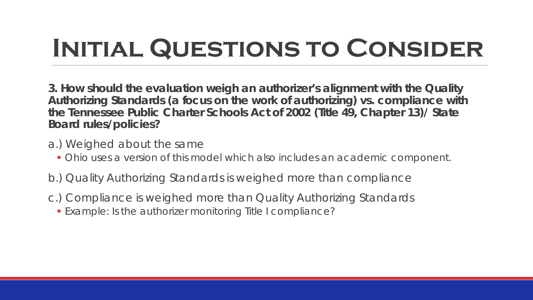**3. How should the evaluation weigh an authorizer's alignment with the Quality Authorizing Standards (a focus on the work of authorizing) vs. compliance with the Tennessee Public Charter Schools Act of 2002 (Title 49, Chapter 13)/ State Board rules/policies?** 

- a.) Weighed about the same
	- Ohio uses a version of this model which also includes an academic component.
- b.) Quality Authorizing Standards is weighed more than compliance
- c.) Compliance is weighed more than Quality Authorizing Standards
	- Example: Is the authorizer monitoring Title I compliance?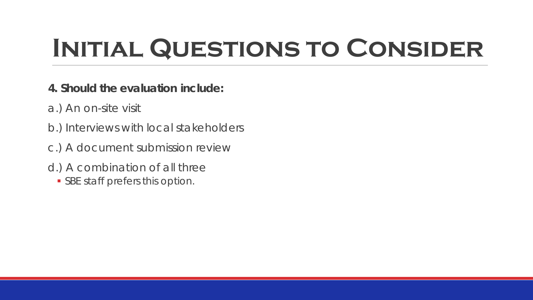- **4. Should the evaluation include:**
- a.) An on-site visit
- b.) Interviews with local stakeholders
- c.) A document submission review
- d.) A combination of all three
	- **SBE staff prefers this option.**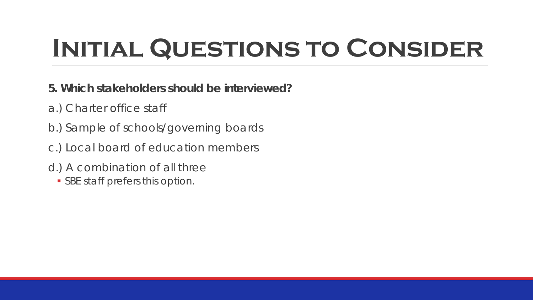- **5. Which stakeholders should be interviewed?**
- a.) Charter office staff
- b.) Sample of schools/governing boards
- c.) Local board of education members
- d.) A combination of all three
	- **SBE staff prefers this option.**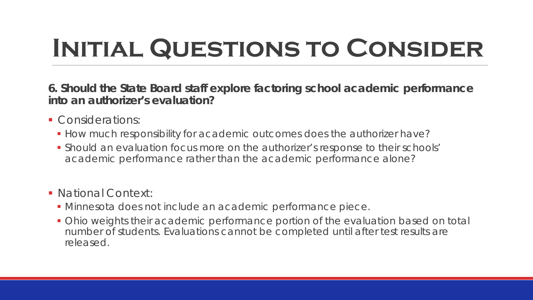**6. Should the State Board staff explore factoring school academic performance into an authorizer's evaluation?** 

- Considerations:
	- **How much responsibility for academic outcomes does the authorizer have?**
	- Should an evaluation focus more on the authorizer's response to their schools' academic performance rather than the academic performance alone?
- National Context:
	- Minnesota does not include an academic performance piece.
	- Ohio weights their academic performance portion of the evaluation based on total number of students. Evaluations cannot be completed until after test results are released.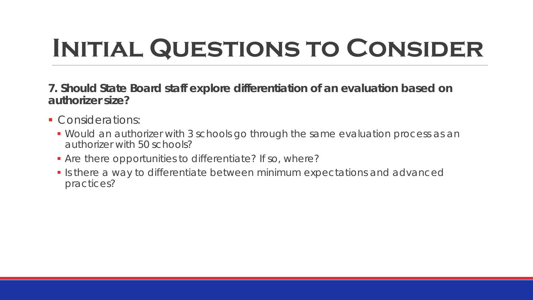- **7. Should State Board staff explore differentiation of an evaluation based on authorizer size?**
- Considerations:
	- Would an authorizer with 3 schools go through the same evaluation process as an authorizer with 50 schools?
	- Are there opportunities to differentiate? If so, where?
	- Is there a way to differentiate between minimum expectations and advanced practices?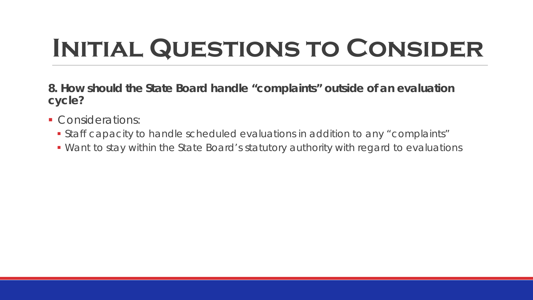**8. How should the State Board handle "complaints" outside of an evaluation cycle?**

- Considerations:
	- Staff capacity to handle scheduled evaluations in addition to any "complaints"
	- Want to stay within the State Board's statutory authority with regard to evaluations